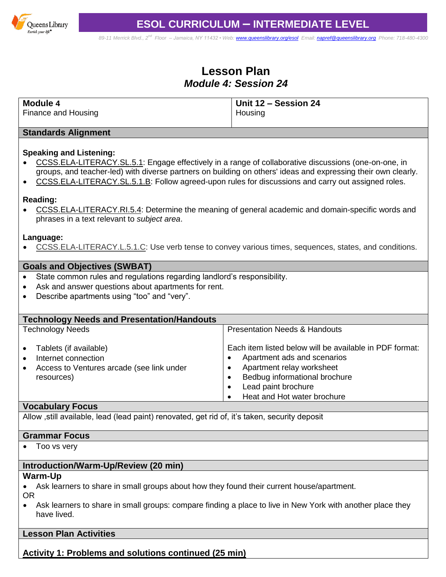

*89-11 Merrick Blvd., 2nd Floor – Jamaica, NY 11432 • Web[: www.queenslibrary.org/esol](http://www.queenslibrary.org/esol) Email: [napref@queenslibrary.org](mailto:napref@queenslibrary.org) Phone: 718-480-4300*

# **Lesson Plan** *Module 4: Session 24*

| Module 4            | Unit 12 - Session 24 |
|---------------------|----------------------|
| Finance and Housing | Housing              |

### **Standards Alignment**

### **Speaking and Listening:**

- [CCSS.ELA-LITERACY.SL.5.1:](http://www.corestandards.org/ELA-Literacy/SL/5/1/) Engage effectively in a range of collaborative discussions (one-on-one, in groups, and teacher-led) with diverse partners on building on others' ideas and expressing their own clearly.
- [CCSS.ELA-LITERACY.SL.5.1.B:](http://www.corestandards.org/ELA-Literacy/SL/5/1/b/) Follow agreed-upon rules for discussions and carry out assigned roles.

#### **Reading:**

 [CCSS.ELA-LITERACY.RI.5.4:](http://www.corestandards.org/ELA-Literacy/RI/5/4/) Determine the meaning of general academic and domain-specific words and phrases in a text relevant to *subject area*.

#### **Language:**

[CCSS.ELA-LITERACY.L.5.1.C:](http://www.corestandards.org/ELA-Literacy/L/5/1/c/) Use verb tense to convey various times, sequences, states, and conditions.

### **Goals and Objectives (SWBAT)**

- State common rules and regulations regarding landlord's responsibility.
- Ask and answer questions about apartments for rent.
- Describe apartments using "too" and "very".

| <b>Technology Needs and Presentation/Handouts</b>                                                                                  |                                                                                                                                                                                                                 |
|------------------------------------------------------------------------------------------------------------------------------------|-----------------------------------------------------------------------------------------------------------------------------------------------------------------------------------------------------------------|
| <b>Technology Needs</b>                                                                                                            | <b>Presentation Needs &amp; Handouts</b>                                                                                                                                                                        |
| Tablets (if available)<br>$\bullet$<br>Internet connection<br>Access to Ventures arcade (see link under<br>$\bullet$<br>resources) | Each item listed below will be available in PDF format:<br>Apartment ads and scenarios<br>Apartment relay worksheet<br>Bedbug informational brochure<br>٠<br>Lead paint brochure<br>Heat and Hot water brochure |

### **Vocabulary Focus**

Allow ,still available, lead (lead paint) renovated, get rid of, it's taken, security deposit

#### **Grammar Focus**

• Too vs very

# **Introduction/Warm-Up/Review (20 min)**

#### **Warm-Up**

- Ask learners to share in small groups about how they found their current house/apartment. OR
- Ask learners to share in small groups: compare finding a place to live in New York with another place they have lived.

## **Lesson Plan Activities**

# **Activity 1: Problems and solutions continued (25 min)**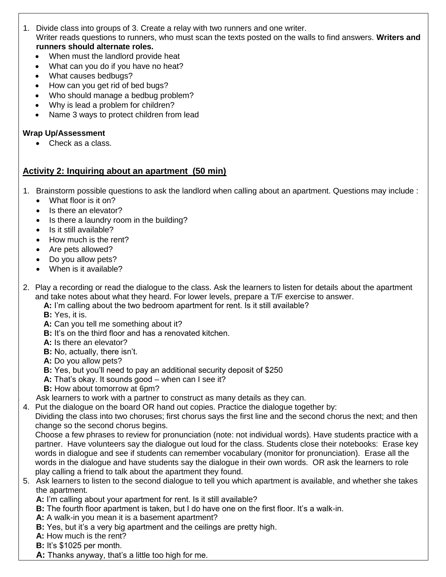- 1. Divide class into groups of 3. Create a relay with two runners and one writer. Writer reads questions to runners, who must scan the texts posted on the walls to find answers. **Writers and runners should alternate roles.**
	- When must the landlord provide heat
	- What can you do if you have no heat?
	- What causes bedbugs?
	- How can you get rid of bed bugs?
	- Who should manage a bedbug problem?
	- Why is lead a problem for children?
	- Name 3 ways to protect children from lead

# **Wrap Up/Assessment**

• Check as a class.

# **Activity 2: Inquiring about an apartment (50 min)**

- 1. Brainstorm possible questions to ask the landlord when calling about an apartment. Questions may include :
	- What floor is it on?
	- Is there an elevator?
	- Is there a laundry room in the building?
	- Is it still available?
	- How much is the rent?
	- Are pets allowed?
	- Do you allow pets?
	- When is it available?
- 2. Play a recording or read the dialogue to the class. Ask the learners to listen for details about the apartment and take notes about what they heard. For lower levels, prepare a T/F exercise to answer.
	- **A:** I'm calling about the two bedroom apartment for rent. Is it still available?
	- **B:** Yes, it is.
	- **A:** Can you tell me something about it?
	- **B:** It's on the third floor and has a renovated kitchen.
	- **A:** Is there an elevator?
	- **B:** No, actually, there isn't.
	- **A:** Do you allow pets?
	- **B:** Yes, but you'll need to pay an additional security deposit of \$250
	- **A:** That's okay. It sounds good when can I see it?
	- **B:** How about tomorrow at 6pm?
	- Ask learners to work with a partner to construct as many details as they can.
- 4. Put the dialogue on the board OR hand out copies. Practice the dialogue together by:

Dividing the class into two choruses; first chorus says the first line and the second chorus the next; and then change so the second chorus begins.

Choose a few phrases to review for pronunciation (note: not individual words). Have students practice with a partner. Have volunteers say the dialogue out loud for the class. Students close their notebooks: Erase key words in dialogue and see if students can remember vocabulary (monitor for pronunciation). Erase all the words in the dialogue and have students say the dialogue in their own words. OR ask the learners to role play calling a friend to talk about the apartment they found.

- 5. Ask learners to listen to the second dialogue to tell you which apartment is available, and whether she takes the apartment.
	- **A:** I'm calling about your apartment for rent. Is it still available?
	- **B:** The fourth floor apartment is taken, but I do have one on the first floor. It's a walk-in.
	- **A:** A walk-in you mean it is a basement apartment?
	- **B:** Yes, but it's a very big apartment and the ceilings are pretty high.
	- **A:** How much is the rent?
	- **B:** It's \$1025 per month.
	- **A:** Thanks anyway, that's a little too high for me.